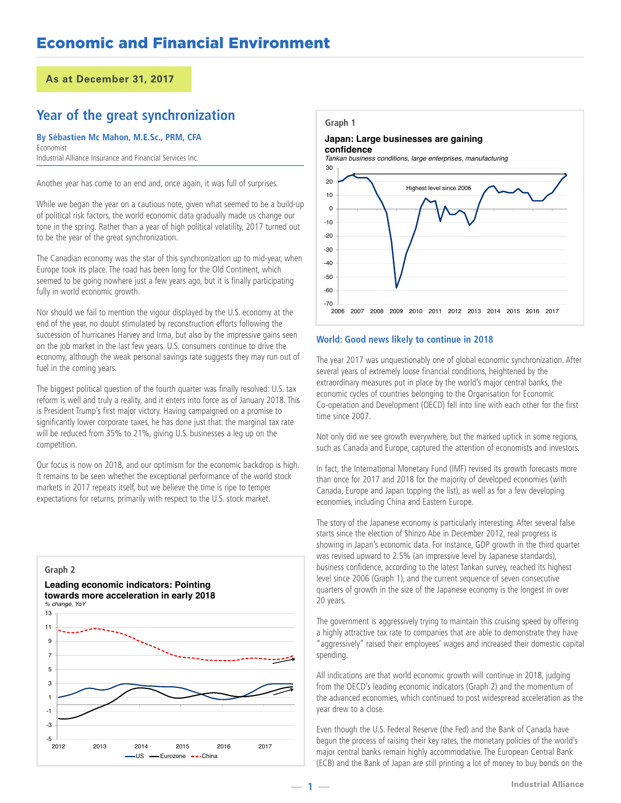## **Year of the great synchronization**

#### **By Sébastien Mc Mahon, M.E.Sc., PRM, CFA** Economist

Industrial Alliance Insurance and Financial Services Inc.

Another year has come to an end and, once again, it was full of surprises.

While we began the year on a cautious note, given what seemed to be a build-up of political risk factors, the world economic data gradually made us change our tone in the spring. Rather than a year of high political volatility, 2017 turned out to be the year of the great synchronization.

The Canadian economy was the star of this synchronization up to mid-year, when Europe took its place. The road has been long for the Old Continent, which seemed to be going nowhere just a few years ago, but it is finally participating fully in world economic growth.

Nor should we fail to mention the vigour displayed by the U.S. economy at the end of the year, no doubt stimulated by reconstruction efforts following the succession of hurricanes Harvey and Irma, but also by the impressive gains seen on the job market in the last few years. U.S. consumers continue to drive the economy, although the weak personal savings rate suggests they may run out of fuel in the coming years.

The biggest political question of the fourth quarter was finally resolved: U.S. tax reform is well and truly a reality, and it enters into force as of January 2018. This is President Trump's first major victory. Having campaigned on a promise to significantly lower corporate taxes, he has done just that: the marginal tax rate will be reduced from 35% to 21%, giving U.S. businesses a leg up on the competition.

Our focus is now on 2018, and our optimism for the economic backdrop is high. It remains to be seen whether the exceptional performance of the world stock markets in 2017 repeats itself, but we believe the time is ripe to temper expectations for returns, primarily with respect to the U.S. stock market.



#### **Graph 1**

#### **Japan: Large businesses are gaining confidence**

*Tankan business conditions, large enterprises, manufacturing*



### **World: Good news likely to continue in 2018**

The year 2017 was unquestionably one of global economic synchronization. After several years of extremely loose financial conditions, heightened by the extraordinary measures put in place by the world's major central banks, the economic cycles of countries belonging to the Organisation for Economic Co-operation and Development (OECD) fell into line with each other for the first time since 2007.

Not only did we see growth everywhere, but the marked uptick in some regions, such as Canada and Europe, captured the attention of economists and investors.

In fact, the International Monetary Fund (IMF) revised its growth forecasts more than once for 2017 and 2018 for the majority of developed economies (with Canada, Europe and Japan topping the list), as well as for a few developing economies, including China and Eastern Europe.

The story of the Japanese economy is particularly interesting. After several false starts since the election of Shinzo Abe in December 2012, real progress is showing in Japan's economic data. For instance, GDP growth in the third quarter was revised upward to 2.5% (an impressive level by Japanese standards), business confidence, according to the latest Tankan survey, reached its highest level since 2006 (Graph 1), and the current sequence of seven consecutive quarters of growth in the size of the Japanese economy is the longest in over 20 years.

The government is aggressively trying to maintain this cruising speed by offering a highly attractive tax rate to companies that are able to demonstrate they have "aggressively" raised their employees' wages and increased their domestic capital spending.

All indications are that world economic growth will continue in 2018, judging from the OECD's leading economic indicators (Graph 2) and the momentum of the advanced economies, which continued to post widespread acceleration as the year drew to a close.

**INDUSTE 1** (ECB) and the Bank of Japan are still printing a lot of money to buy bonds on the<br> **Industrial Alliance** Even though the U.S. Federal Reserve (the Fed) and the Bank of Canada have begun the process of raising their key rates, the monetary policies of the world's major central banks remain highly accommodative. The European Central Bank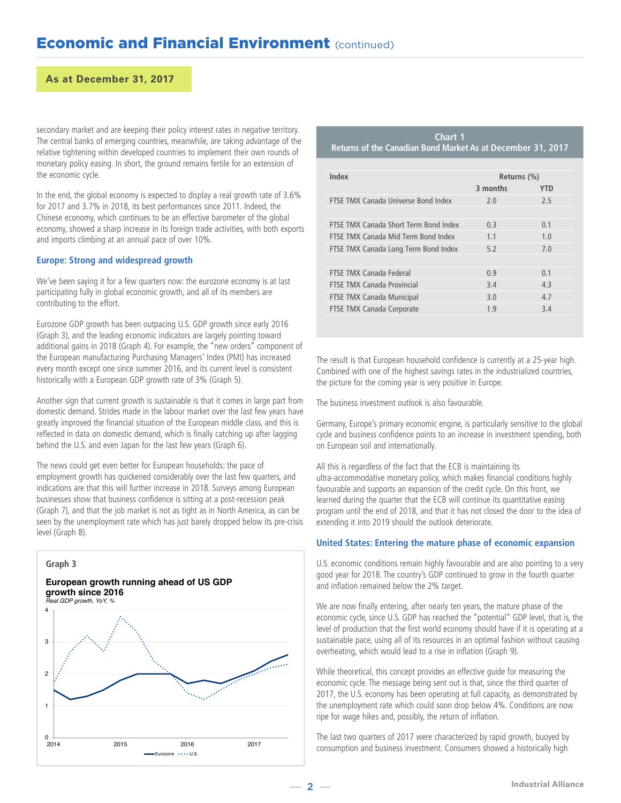secondary market and are keeping their policy interest rates in negative territory. The central banks of emerging countries, meanwhile, are taking advantage of the relative tightening within developed countries to implement their own rounds of monetary policy easing. In short, the ground remains fertile for an extension of the economic cycle.

In the end, the global economy is expected to display a real growth rate of 3.6% for 2017 and 3.7% in 2018, its best performances since 2011. Indeed, the Chinese economy, which continues to be an effective barometer of the global economy, showed a sharp increase in its foreign trade activities, with both exports and imports climbing at an annual pace of over 10%.

## **Europe: Strong and widespread growth**

We've been saying it for a few quarters now: the eurozone economy is at last participating fully in global economic growth, and all of its members are contributing to the effort.

Eurozone GDP growth has been outpacing U.S. GDP growth since early 2016 (Graph 3), and the leading economic indicators are largely pointing toward additional gains in 2018 (Graph 4). For example, the "new orders" component of the European manufacturing Purchasing Managers' Index (PMI) has increased every month except one since summer 2016, and its current level is consistent historically with a European GDP growth rate of 3% (Graph 5).

Another sign that current growth is sustainable is that it comes in large part from domestic demand. Strides made in the labour market over the last few years have greatly improved the financial situation of the European middle class, and this is reflected in data on domestic demand, which is finally catching up after lagging behind the U.S. and even Japan for the last few years (Graph 6).

The news could get even better for European households: the pace of employment growth has quickened considerably over the last few quarters, and indications are that this will further increase in 2018. Surveys among European businesses show that business confidence is sitting at a post-recession peak (Graph 7), and that the job market is not as tight as in North America, as can be seen by the unemployment rate which has just barely dropped below its pre-crisis level (Graph 8).



**Chart 1 Returns of the Canadian Bond Market As at December 31, 2017**

| Index                                 | Returns (%) |     |
|---------------------------------------|-------------|-----|
|                                       | 3 months    | YTD |
| FTSE TMX Canada Universe Bond Index   | 2.0         | 7.5 |
|                                       |             |     |
| FTSE TMX Canada Short Term Bond Index | 0.3         | 0.1 |
| FTSF TMX Canada Mid Term Bond Index   | 1.1         | 1.0 |
| FTSE TMX Canada Long Term Bond Index  | 5.2         | 7.0 |
|                                       |             |     |
| <b>FTSF TMX Canada Federal</b>        | 0.9         | 0.1 |
| <b>FTSE TMX Canada Provincial</b>     | 3.4         | 4.3 |
| FTSE TMX Canada Municipal             | 3.0         | 4.7 |
| FTSE TMX Canada Corporate             | 1.9         | 3.4 |

The result is that European household confidence is currently at a 25-year high. Combined with one of the highest savings rates in the industrialized countries, the picture for the coming year is very positive in Europe.

The business investment outlook is also favourable.

Germany, Europe's primary economic engine, is particularly sensitive to the global cycle and business confidence points to an increase in investment spending, both on European soil and internationally.

All this is regardless of the fact that the ECB is maintaining its ultra-accommodative monetary policy, which makes financial conditions highly favourable and supports an expansion of the credit cycle. On this front, we learned during the quarter that the ECB will continue its quantitative easing program until the end of 2018, and that it has not closed the door to the idea of extending it into 2019 should the outlook deteriorate.

### **United States: Entering the mature phase of economic expansion**

U.S. economic conditions remain highly favourable and are also pointing to a very good year for 2018. The country's GDP continued to grow in the fourth quarter and inflation remained below the 2% target.

We are now finally entering, after nearly ten years, the mature phase of the economic cycle, since U.S. GDP has reached the "potential" GDP level, that is, the level of production that the first world economy should have if it is operating at a sustainable pace, using all of its resources in an optimal fashion without causing overheating, which would lead to a rise in inflation (Graph 9).

While theoretical, this concept provides an effective guide for measuring the economic cycle. The message being sent out is that, since the third quarter of 2017, the U.S. economy has been operating at full capacity, as demonstrated by the unemployment rate which could soon drop below 4%. Conditions are now ripe for wage hikes and, possibly, the return of inflation.

The last two quarters of 2017 were characterized by rapid growth, buoyed by consumption and business investment. Consumers showed a historically high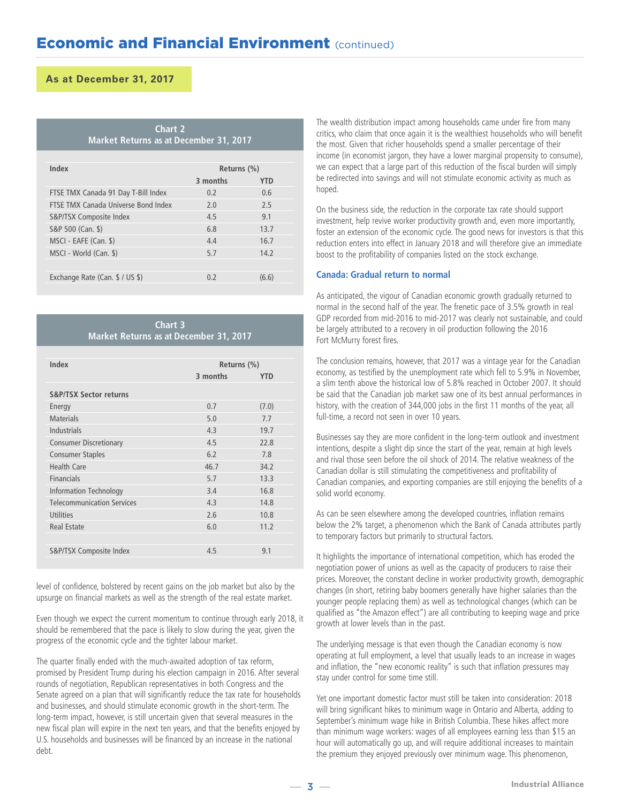|  | <b>Chart 2</b> |                                        |  |
|--|----------------|----------------------------------------|--|
|  |                | Market Returns as at December 31, 2017 |  |

| Index                               | Returns (%) |       |  |  |
|-------------------------------------|-------------|-------|--|--|
|                                     | 3 months    | YTD   |  |  |
| FTSE TMX Canada 91 Day T-Bill Index | 0.2         | 0.6   |  |  |
| FTSF TMX Canada Universe Bond Index | 7.0         | 7.5   |  |  |
| S&P/TSX Composite Index             | 4.5         | 9.1   |  |  |
| S&P 500 (Can. \$)                   | 6.8         | 13.7  |  |  |
| MSCI - EAFE (Can. \$)               | 4.4         | 16.7  |  |  |
| MSCI - World (Can. \$)              | 5.7         | 14.2  |  |  |
|                                     |             |       |  |  |
| Exchange Rate (Can. \$ / US \$)     | 0.2         | (6.6) |  |  |
|                                     |             |       |  |  |

**Chart 3 Market Returns as at December 31, 2017**

| Index                             | Returns (%) |            |  |  |
|-----------------------------------|-------------|------------|--|--|
|                                   | 3 months    | <b>YTD</b> |  |  |
| <b>S&amp;P/TSX Sector returns</b> |             |            |  |  |
| Energy                            | 0.7         | (7.0)      |  |  |
| <b>Materials</b>                  | 5.0         | 7.7        |  |  |
| Industrials                       | 4.3         | 19.7       |  |  |
| <b>Consumer Discretionary</b>     | 4.5         | 22.8       |  |  |
| <b>Consumer Staples</b>           | 6.2         | 7.8        |  |  |
| Health Care                       | 46.7        | 34.2       |  |  |
| <b>Financials</b>                 | 5.7         | 13.3       |  |  |
| <b>Information Technology</b>     | 3.4         | 16.8       |  |  |
| <b>Telecommunication Services</b> | 4.3         | 14.8       |  |  |
| <b>Utilities</b>                  | 2.6         | 10.8       |  |  |
| Real Estate                       | 6.0         | 11.2       |  |  |
|                                   |             |            |  |  |
| S&P/TSX Composite Index           | 4.5         | 9.1        |  |  |
|                                   |             |            |  |  |

level of confidence, bolstered by recent gains on the job market but also by the upsurge on financial markets as well as the strength of the real estate market.

Even though we expect the current momentum to continue through early 2018, it should be remembered that the pace is likely to slow during the year, given the progress of the economic cycle and the tighter labour market.

The quarter finally ended with the much-awaited adoption of tax reform, promised by President Trump during his election campaign in 2016. After several rounds of negotiation, Republican representatives in both Congress and the Senate agreed on a plan that will significantly reduce the tax rate for households and businesses, and should stimulate economic growth in the short-term. The long-term impact, however, is still uncertain given that several measures in the new fiscal plan will expire in the next ten years, and that the benefits enjoyed by U.S. households and businesses will be financed by an increase in the national debt.

The wealth distribution impact among households came under fire from many critics, who claim that once again it is the wealthiest households who will benefit the most. Given that richer households spend a smaller percentage of their income (in economist jargon, they have a lower marginal propensity to consume), we can expect that a large part of this reduction of the fiscal burden will simply be redirected into savings and will not stimulate economic activity as much as hoped.

On the business side, the reduction in the corporate tax rate should support investment, help revive worker productivity growth and, even more importantly, foster an extension of the economic cycle. The good news for investors is that this reduction enters into effect in January 2018 and will therefore give an immediate boost to the profitability of companies listed on the stock exchange.

### **Canada: Gradual return to normal**

As anticipated, the vigour of Canadian economic growth gradually returned to normal in the second half of the year. The frenetic pace of 3.5% growth in real GDP recorded from mid-2016 to mid-2017 was clearly not sustainable, and could be largely attributed to a recovery in oil production following the 2016 Fort McMurry forest fires.

The conclusion remains, however, that 2017 was a vintage year for the Canadian economy, as testified by the unemployment rate which fell to 5.9% in November, a slim tenth above the historical low of 5.8% reached in October 2007. It should be said that the Canadian job market saw one of its best annual performances in history, with the creation of 344,000 jobs in the first 11 months of the year, all full-time, a record not seen in over 10 years.

Businesses say they are more confident in the long-term outlook and investment intentions, despite a slight dip since the start of the year, remain at high levels and rival those seen before the oil shock of 2014. The relative weakness of the Canadian dollar is still stimulating the competitiveness and profitability of Canadian companies, and exporting companies are still enjoying the benefits of a solid world economy.

As can be seen elsewhere among the developed countries, inflation remains below the 2% target, a phenomenon which the Bank of Canada attributes partly to temporary factors but primarily to structural factors.

It highlights the importance of international competition, which has eroded the negotiation power of unions as well as the capacity of producers to raise their prices. Moreover, the constant decline in worker productivity growth, demographic changes (in short, retiring baby boomers generally have higher salaries than the younger people replacing them) as well as technological changes (which can be qualified as "the Amazon effect") are all contributing to keeping wage and price growth at lower levels than in the past.

The underlying message is that even though the Canadian economy is now operating at full employment, a level that usually leads to an increase in wages and inflation, the "new economic reality" is such that inflation pressures may stay under control for some time still.

-<sup>3</sup> - **Industrial Alliance** Yet one important domestic factor must still be taken into consideration: 2018 will bring significant hikes to minimum wage in Ontario and Alberta, adding to September's minimum wage hike in British Columbia. These hikes affect more than minimum wage workers: wages of all employees earning less than \$15 an hour will automatically go up, and will require additional increases to maintain the premium they enjoyed previously over minimum wage. This phenomenon,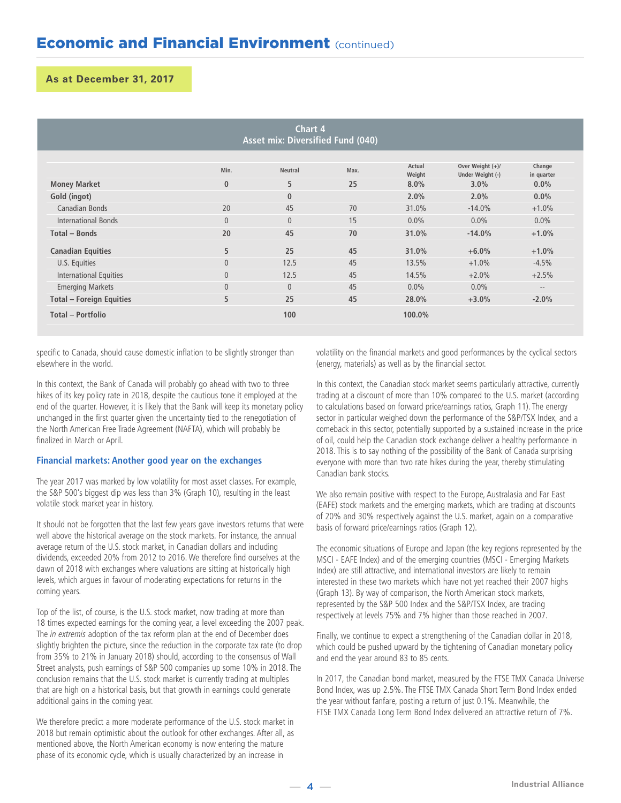| Chart 4<br>Asset mix: Diversified Fund (040) |                |                |      |                  |                                        |                      |  |  |  |
|----------------------------------------------|----------------|----------------|------|------------------|----------------------------------------|----------------------|--|--|--|
|                                              | Min.           | <b>Neutral</b> | Max. | Actual<br>Weight | Over Weight $(+)/$<br>Under Weight (-) | Change<br>in quarter |  |  |  |
| <b>Money Market</b>                          | $\mathbf{0}$   | 5              | 25   | 8.0%             | 3.0%                                   | $0.0\%$              |  |  |  |
| Gold (ingot)                                 |                | $\mathbf{0}$   |      | 2.0%             | 2.0%                                   | $0.0\%$              |  |  |  |
| Canadian Bonds                               | 20             | 45             | 70   | 31.0%            | $-14.0%$                               | $+1.0%$              |  |  |  |
| <b>International Bonds</b>                   | $\overline{0}$ | $\mathbf{0}$   | 15   | $0.0\%$          | $0.0\%$                                | $0.0\%$              |  |  |  |
| Total - Bonds                                | 20             | 45             | 70   | 31.0%            | $-14.0%$                               | $+1.0%$              |  |  |  |
| <b>Canadian Equities</b>                     | 5              | 25             | 45   | 31.0%            | $+6.0%$                                | $+1.0%$              |  |  |  |
| U.S. Equities                                | $\mathbf{0}$   | 12.5           | 45   | 13.5%            | $+1.0%$                                | $-4.5%$              |  |  |  |
| <b>International Equities</b>                | $\overline{0}$ | 12.5           | 45   | 14.5%            | $+2.0%$                                | $+2.5%$              |  |  |  |
| <b>Emerging Markets</b>                      | $\mathbf{0}$   | $\overline{0}$ | 45   | $0.0\%$          | $0.0\%$                                | $\qquad \qquad -$    |  |  |  |
| <b>Total - Foreign Equities</b>              | 5              | 25             | 45   | 28.0%            | $+3.0%$                                | $-2.0%$              |  |  |  |
| Total - Portfolio                            |                | 100            |      | 100.0%           |                                        |                      |  |  |  |

specific to Canada, should cause domestic inflation to be slightly stronger than elsewhere in the world.

In this context, the Bank of Canada will probably go ahead with two to three hikes of its key policy rate in 2018, despite the cautious tone it employed at the end of the quarter. However, it is likely that the Bank will keep its monetary policy unchanged in the first quarter given the uncertainty tied to the renegotiation of the North American Free Trade Agreement (NAFTA), which will probably be finalized in March or April.

## **Financial markets: Another good year on the exchanges**

The year 2017 was marked by low volatility for most asset classes. For example, the S&P 500's biggest dip was less than 3% (Graph 10), resulting in the least volatile stock market year in history.

It should not be forgotten that the last few years gave investors returns that were well above the historical average on the stock markets. For instance, the annual average return of the U.S. stock market, in Canadian dollars and including dividends, exceeded 20% from 2012 to 2016. We therefore find ourselves at the dawn of 2018 with exchanges where valuations are sitting at historically high levels, which argues in favour of moderating expectations for returns in the coming years.

Top of the list, of course, is the U.S. stock market, now trading at more than 18 times expected earnings for the coming year, a level exceeding the 2007 peak. The in extremis adoption of the tax reform plan at the end of December does slightly brighten the picture, since the reduction in the corporate tax rate (to drop from 35% to 21% in January 2018) should, according to the consensus of Wall Street analysts, push earnings of S&P 500 companies up some 10% in 2018. The conclusion remains that the U.S. stock market is currently trading at multiples that are high on a historical basis, but that growth in earnings could generate additional gains in the coming year.

We therefore predict a more moderate performance of the U.S. stock market in 2018 but remain optimistic about the outlook for other exchanges. After all, as mentioned above, the North American economy is now entering the mature phase of its economic cycle, which is usually characterized by an increase in

volatility on the financial markets and good performances by the cyclical sectors (energy, materials) as well as by the financial sector.

In this context, the Canadian stock market seems particularly attractive, currently trading at a discount of more than 10% compared to the U.S. market (according to calculations based on forward price/earnings ratios, Graph 11). The energy sector in particular weighed down the performance of the S&P/TSX Index, and a comeback in this sector, potentially supported by a sustained increase in the price of oil, could help the Canadian stock exchange deliver a healthy performance in 2018. This is to say nothing of the possibility of the Bank of Canada surprising everyone with more than two rate hikes during the year, thereby stimulating Canadian bank stocks.

We also remain positive with respect to the Europe, Australasia and Far East (EAFE) stock markets and the emerging markets, which are trading at discounts of 20% and 30% respectively against the U.S. market, again on a comparative basis of forward price/earnings ratios (Graph 12).

The economic situations of Europe and Japan (the key regions represented by the MSCI - EAFE Index) and of the emerging countries (MSCI - Emerging Markets Index) are still attractive, and international investors are likely to remain interested in these two markets which have not yet reached their 2007 highs (Graph 13). By way of comparison, the North American stock markets, represented by the S&P 500 Index and the S&P/TSX Index, are trading respectively at levels 75% and 7% higher than those reached in 2007.

Finally, we continue to expect a strengthening of the Canadian dollar in 2018, which could be pushed upward by the tightening of Canadian monetary policy and end the year around 83 to 85 cents.

In 2017, the Canadian bond market, measured by the FTSE TMX Canada Universe Bond Index, was up 2.5%. The FTSE TMX Canada Short Term Bond Index ended the year without fanfare, posting a return of just 0.1%. Meanwhile, the FTSE TMX Canada Long Term Bond Index delivered an attractive return of 7%.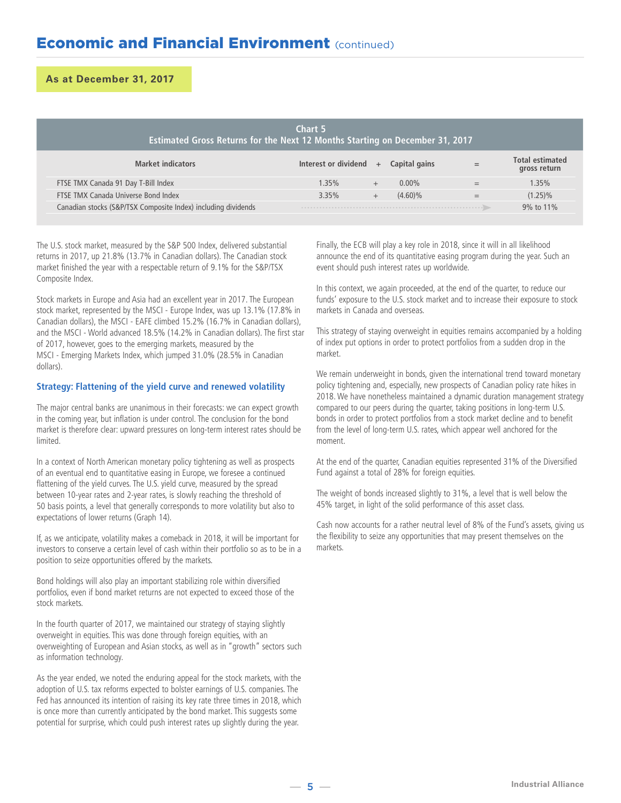## **Economic and Financial Environment (continued)**

**As at December 31, 2017**

| Chart 5<br>Estimated Gross Returns for the Next 12 Months Starting on December 31, 2017 |                      |     |               |     |                                        |  |  |
|-----------------------------------------------------------------------------------------|----------------------|-----|---------------|-----|----------------------------------------|--|--|
| <b>Market indicators</b>                                                                | Interest or dividend | $+$ | Capital gains | $=$ | <b>Total estimated</b><br>gross return |  |  |
| FTSE TMX Canada 91 Day T-Bill Index                                                     | 1.35%                |     | $0.00\%$      | $=$ | 1.35%                                  |  |  |
| FTSE TMX Canada Universe Bond Index                                                     | 3.35%                |     | $(4.60)\%$    | $=$ | $(1.25)\%$                             |  |  |
| Canadian stocks (S&P/TSX Composite Index) including dividends                           |                      |     |               |     | 9% to 11%                              |  |  |

The U.S. stock market, measured by the S&P 500 Index, delivered substantial returns in 2017, up 21.8% (13.7% in Canadian dollars). The Canadian stock market finished the year with a respectable return of 9.1% for the S&P/TSX Composite Index.

Stock markets in Europe and Asia had an excellent year in 2017. The European stock market, represented by the MSCI - Europe Index, was up 13.1% (17.8% in Canadian dollars), the MSCI - EAFE climbed 15.2% (16.7% in Canadian dollars), and the MSCI - World advanced 18.5% (14.2% in Canadian dollars). The first star of 2017, however, goes to the emerging markets, measured by the MSCI - Emerging Markets Index, which jumped 31.0% (28.5% in Canadian dollars).

## **Strategy: Flattening of the yield curve and renewed volatility**

The major central banks are unanimous in their forecasts: we can expect growth in the coming year, but inflation is under control. The conclusion for the bond market is therefore clear: upward pressures on long-term interest rates should be limited.

In a context of North American monetary policy tightening as well as prospects of an eventual end to quantitative easing in Europe, we foresee a continued flattening of the yield curves. The U.S. yield curve, measured by the spread between 10-year rates and 2-year rates, is slowly reaching the threshold of 50 basis points, a level that generally corresponds to more volatility but also to expectations of lower returns (Graph 14).

If, as we anticipate, volatility makes a comeback in 2018, it will be important for investors to conserve a certain level of cash within their portfolio so as to be in a position to seize opportunities offered by the markets.

Bond holdings will also play an important stabilizing role within diversified portfolios, even if bond market returns are not expected to exceed those of the stock markets.

In the fourth quarter of 2017, we maintained our strategy of staying slightly overweight in equities. This was done through foreign equities, with an overweighting of European and Asian stocks, as well as in "growth" sectors such as information technology.

As the year ended, we noted the enduring appeal for the stock markets, with the adoption of U.S. tax reforms expected to bolster earnings of U.S. companies. The Fed has announced its intention of raising its key rate three times in 2018, which is once more than currently anticipated by the bond market. This suggests some potential for surprise, which could push interest rates up slightly during the year.

Finally, the ECB will play a key role in 2018, since it will in all likelihood announce the end of its quantitative easing program during the year. Such an event should push interest rates up worldwide.

In this context, we again proceeded, at the end of the quarter, to reduce our funds' exposure to the U.S. stock market and to increase their exposure to stock markets in Canada and overseas.

This strategy of staying overweight in equities remains accompanied by a holding of index put options in order to protect portfolios from a sudden drop in the market.

We remain underweight in bonds, given the international trend toward monetary policy tightening and, especially, new prospects of Canadian policy rate hikes in 2018. We have nonetheless maintained a dynamic duration management strategy compared to our peers during the quarter, taking positions in long-term U.S. bonds in order to protect portfolios from a stock market decline and to benefit from the level of long-term U.S. rates, which appear well anchored for the moment.

At the end of the quarter, Canadian equities represented 31% of the Diversified Fund against a total of 28% for foreign equities.

The weight of bonds increased slightly to 31%, a level that is well below the 45% target, in light of the solid performance of this asset class.

Cash now accounts for a rather neutral level of 8% of the Fund's assets, giving us the flexibility to seize any opportunities that may present themselves on the markets.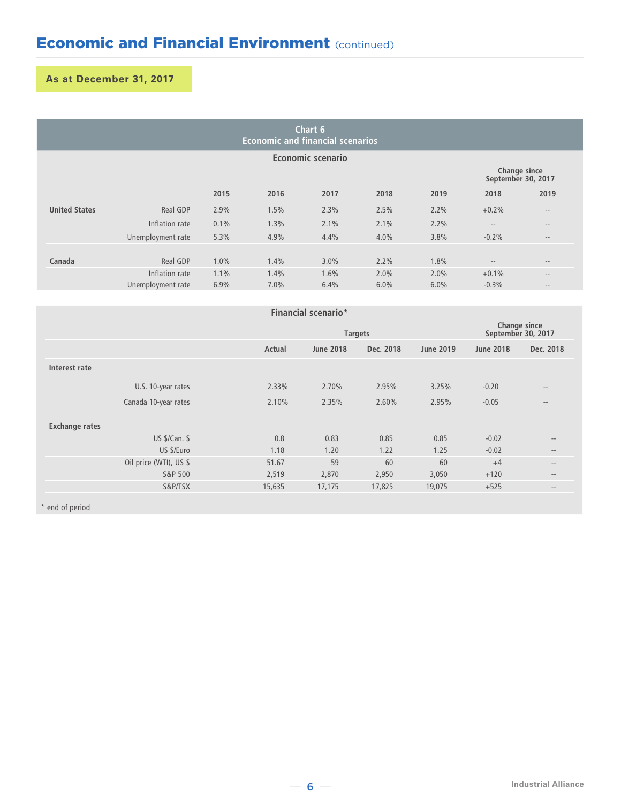| Chart 6<br><b>Economic and financial scenarios</b> |                   |      |      |                   |      |      |                                    |                   |
|----------------------------------------------------|-------------------|------|------|-------------------|------|------|------------------------------------|-------------------|
|                                                    |                   |      |      | Economic scenario |      |      |                                    |                   |
|                                                    |                   |      |      |                   |      |      | Change since<br>September 30, 2017 |                   |
|                                                    |                   | 2015 | 2016 | 2017              | 2018 | 2019 | 2018                               | 2019              |
| <b>United States</b>                               | Real GDP          | 2.9% | 1.5% | 2.3%              | 2.5% | 2.2% | $+0.2%$                            | $\qquad \qquad -$ |
|                                                    | Inflation rate    | 0.1% | 1.3% | 2.1%              | 2.1% | 2.2% | $\cdots$                           | $\qquad \qquad -$ |
|                                                    | Unemployment rate | 5.3% | 4.9% | 4.4%              | 4.0% | 3.8% | $-0.2%$                            | $\qquad \qquad -$ |
|                                                    |                   |      |      |                   |      |      |                                    |                   |
| Canada                                             | Real GDP          | 1.0% | 1.4% | 3.0%              | 2.2% | 1.8% | $\qquad \qquad -$                  | $\qquad \qquad -$ |
|                                                    | Inflation rate    | 1.1% | 1.4% | 1.6%              | 2.0% | 2.0% | $+0.1%$                            | $\qquad \qquad -$ |
|                                                    | Unemployment rate | 6.9% | 7.0% | 6.4%              | 6.0% | 6.0% | $-0.3%$                            | $\cdots$          |

| Financial scenario*   |                        |        |                  |                                    |           |         |                                                |
|-----------------------|------------------------|--------|------------------|------------------------------------|-----------|---------|------------------------------------------------|
|                       |                        |        | <b>Targets</b>   | Change since<br>September 30, 2017 |           |         |                                                |
|                       |                        | Actual | <b>June 2018</b> | <b>June 2018</b>                   | Dec. 2018 |         |                                                |
| Interest rate         |                        |        |                  |                                    |           |         |                                                |
|                       | U.S. 10-year rates     | 2.33%  | 2.70%            | 2.95%                              | 3.25%     | $-0.20$ | $\qquad \qquad -$                              |
|                       | Canada 10-year rates   | 2.10%  | 2.35%            | 2.60%                              | 2.95%     | $-0.05$ | $\qquad \qquad -$                              |
| <b>Exchange rates</b> |                        |        |                  |                                    |           |         |                                                |
|                       | US \$/Can. \$          | 0.8    | 0.83             | 0.85                               | 0.85      | $-0.02$ | $\hspace{0.1mm}-\hspace{0.1mm}-\hspace{0.1mm}$ |
|                       | US \$/Euro             | 1.18   | 1.20             | 1.22                               | 1.25      | $-0.02$ | $\qquad \qquad -$                              |
|                       | Oil price (WTI), US \$ | 51.67  | 59               | 60                                 | 60        | $+4$    | $\qquad \qquad -$                              |
|                       | S&P 500                | 2,519  | 2,870            | 2,950                              | 3,050     | $+120$  | $\qquad \qquad -$                              |
|                       | S&P/TSX                | 15,635 | 17,175           | 17,825                             | 19,075    | $+525$  | $\qquad \qquad -$                              |
|                       |                        |        |                  |                                    |           |         |                                                |

\* end of period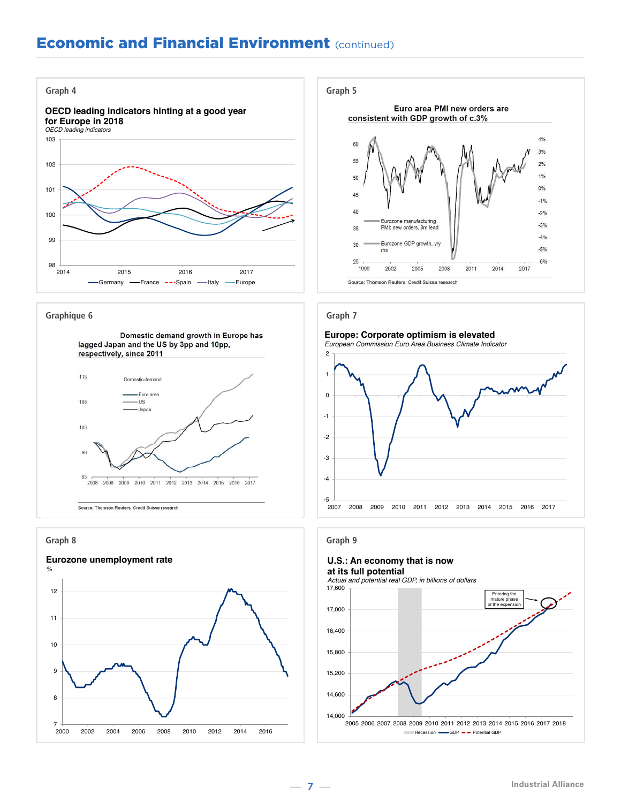## **Economic and Financial Environment (continued)**



#### **Graphique 6**



**Graph 8**





### **Graph 7**

#### **Europe: Corporate optimism is elevated**

*European Commission Euro Area Business Climate Indicator*



## **Graph 9**

#### **U.S.: An economy that is now at its full potential**

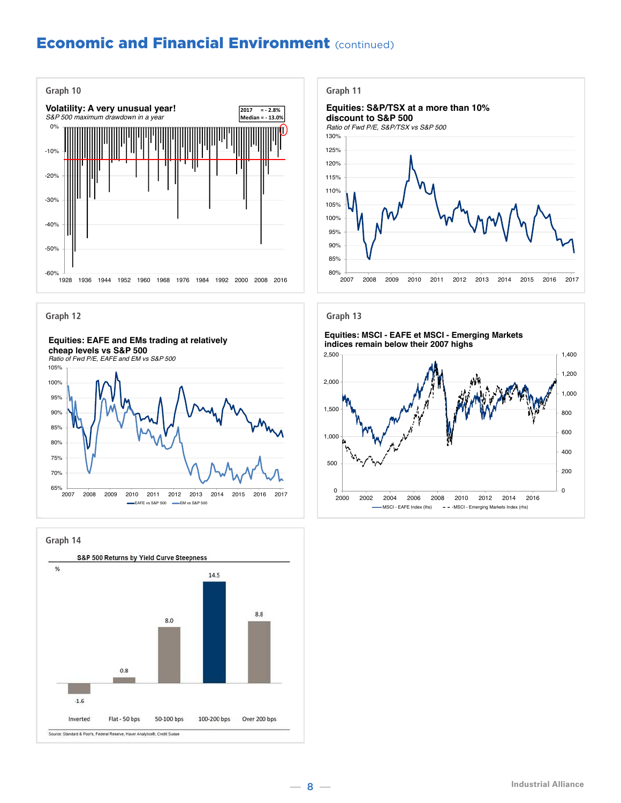## **Economic and Financial Environment (continued)**













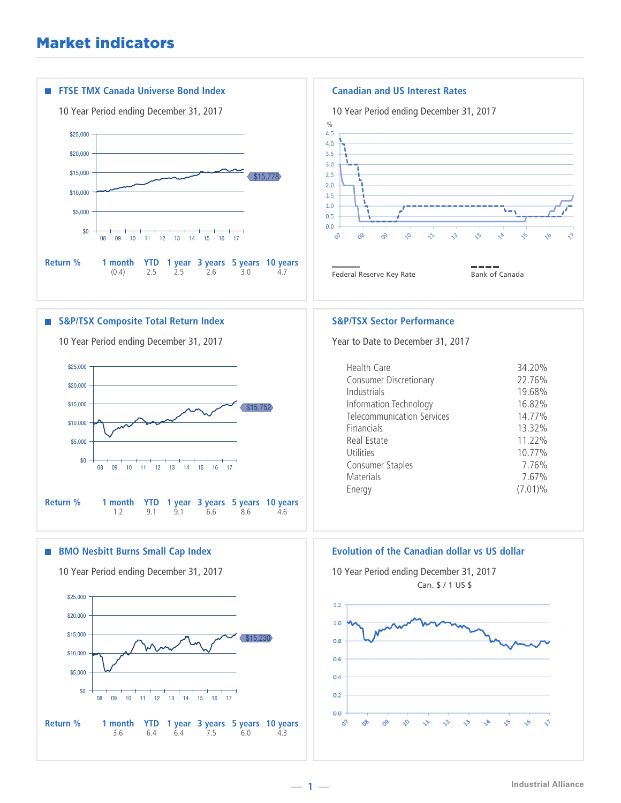## Market indicators

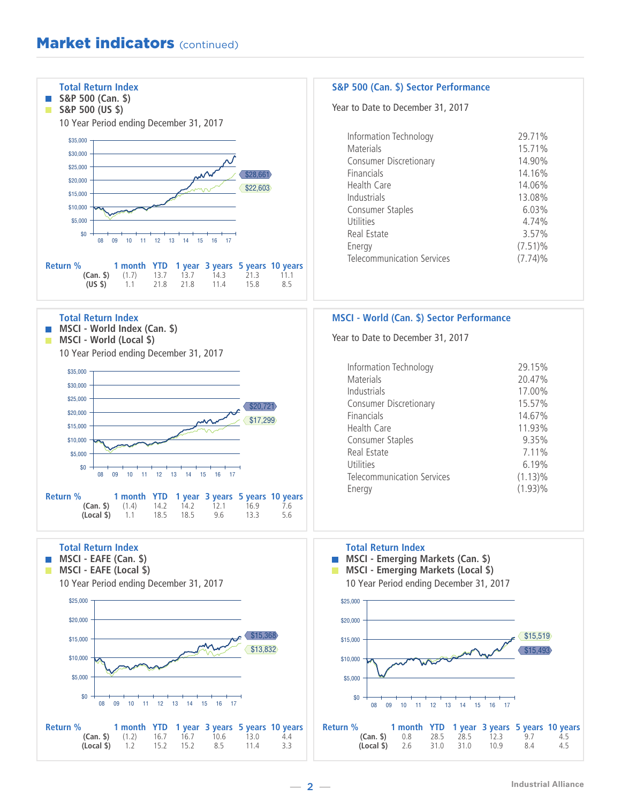## **Market indicators (continued)**